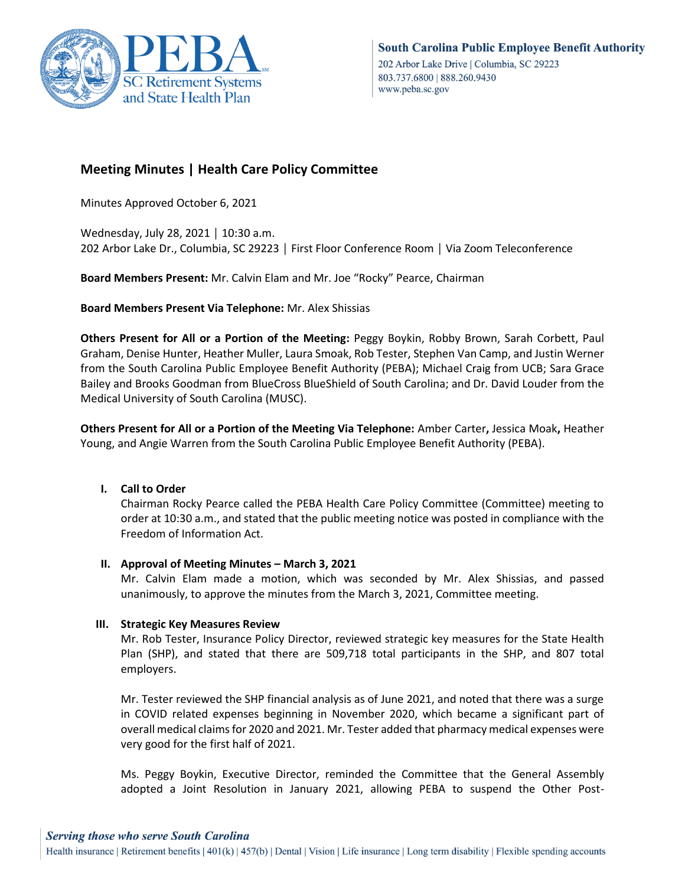

# **Meeting Minutes | Health Care Policy Committee**

Minutes Approved October 6, 2021

Wednesday, July 28, 2021 │ 10:30 a.m. 202 Arbor Lake Dr., Columbia, SC 29223 │ First Floor Conference Room │ Via Zoom Teleconference

**Board Members Present:** Mr. Calvin Elam and Mr. Joe "Rocky" Pearce, Chairman

**Board Members Present Via Telephone:** Mr. Alex Shissias

**Others Present for All or a Portion of the Meeting:** Peggy Boykin, Robby Brown, Sarah Corbett, Paul Graham, Denise Hunter, Heather Muller, Laura Smoak, Rob Tester, Stephen Van Camp, and Justin Werner from the South Carolina Public Employee Benefit Authority (PEBA); Michael Craig from UCB; Sara Grace Bailey and Brooks Goodman from BlueCross BlueShield of South Carolina; and Dr. David Louder from the Medical University of South Carolina (MUSC).

**Others Present for All or a Portion of the Meeting Via Telephone:** Amber Carter**,** Jessica Moak**,** Heather Young, and Angie Warren from the South Carolina Public Employee Benefit Authority (PEBA).

# **I. Call to Order**

Chairman Rocky Pearce called the PEBA Health Care Policy Committee (Committee) meeting to order at 10:30 a.m., and stated that the public meeting notice was posted in compliance with the Freedom of Information Act.

#### **II. Approval of Meeting Minutes – March 3, 2021**

Mr. Calvin Elam made a motion, which was seconded by Mr. Alex Shissias, and passed unanimously, to approve the minutes from the March 3, 2021, Committee meeting.

#### **III. Strategic Key Measures Review**

Mr. Rob Tester, Insurance Policy Director, reviewed strategic key measures for the State Health Plan (SHP), and stated that there are 509,718 total participants in the SHP, and 807 total employers.

Mr. Tester reviewed the SHP financial analysis as of June 2021, and noted that there was a surge in COVID related expenses beginning in November 2020, which became a significant part of overall medical claims for 2020 and 2021. Mr. Tester added that pharmacy medical expenses were very good for the first half of 2021.

Ms. Peggy Boykin, Executive Director, reminded the Committee that the General Assembly adopted a Joint Resolution in January 2021, allowing PEBA to suspend the Other Post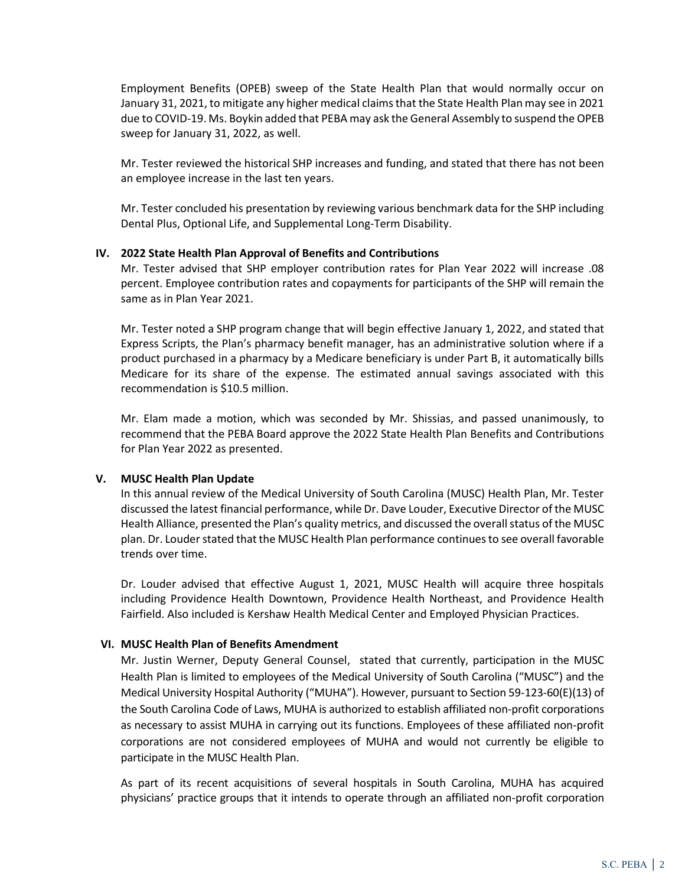Employment Benefits (OPEB) sweep of the State Health Plan that would normally occur on January 31, 2021, to mitigate any higher medical claims that the State Health Plan may see in 2021 due to COVID-19. Ms. Boykin added that PEBA may ask the General Assembly to suspend the OPEB sweep for January 31, 2022, as well.

Mr. Tester reviewed the historical SHP increases and funding, and stated that there has not been an employee increase in the last ten years.

Mr. Tester concluded his presentation by reviewing various benchmark data for the SHP including Dental Plus, Optional Life, and Supplemental Long-Term Disability.

### **IV. 2022 State Health Plan Approval of Benefits and Contributions**

Mr. Tester advised that SHP employer contribution rates for Plan Year 2022 will increase .08 percent. Employee contribution rates and copayments for participants of the SHP will remain the same as in Plan Year 2021.

Mr. Tester noted a SHP program change that will begin effective January 1, 2022, and stated that Express Scripts, the Plan's pharmacy benefit manager, has an administrative solution where if a product purchased in a pharmacy by a Medicare beneficiary is under Part B, it automatically bills Medicare for its share of the expense. The estimated annual savings associated with this recommendation is \$10.5 million.

Mr. Elam made a motion, which was seconded by Mr. Shissias, and passed unanimously, to recommend that the PEBA Board approve the 2022 State Health Plan Benefits and Contributions for Plan Year 2022 as presented.

#### **V. MUSC Health Plan Update**

In this annual review of the Medical University of South Carolina (MUSC) Health Plan, Mr. Tester discussed the latest financial performance, while Dr. Dave Louder, Executive Director of the MUSC Health Alliance, presented the Plan's quality metrics, and discussed the overall status of the MUSC plan. Dr. Louder stated that the MUSC Health Plan performance continuesto see overall favorable trends over time.

Dr. Louder advised that effective August 1, 2021, MUSC Health will acquire three hospitals including Providence Health Downtown, Providence Health Northeast, and Providence Health Fairfield. Also included is Kershaw Health Medical Center and Employed Physician Practices.

# **VI. MUSC Health Plan of Benefits Amendment**

Mr. Justin Werner, Deputy General Counsel, stated that currently, participation in the MUSC Health Plan is limited to employees of the Medical University of South Carolina ("MUSC") and the Medical University Hospital Authority ("MUHA"). However, pursuant to Section 59-123-60(E)(13) of the South Carolina Code of Laws, MUHA is authorized to establish affiliated non-profit corporations as necessary to assist MUHA in carrying out its functions. Employees of these affiliated non-profit corporations are not considered employees of MUHA and would not currently be eligible to participate in the MUSC Health Plan.

As part of its recent acquisitions of several hospitals in South Carolina, MUHA has acquired physicians' practice groups that it intends to operate through an affiliated non-profit corporation